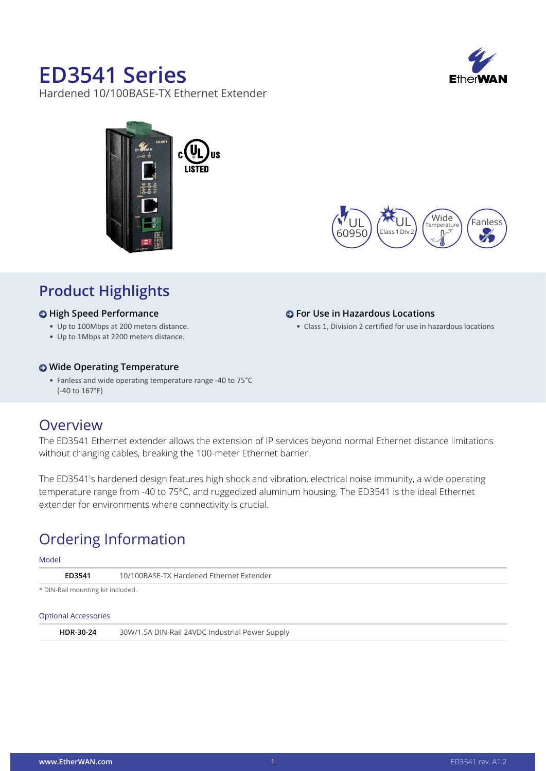# **ED3541 Series**

Hardened 10/100BASE-TX Ethernet Extender







**For Use in Hazardous Locations**

• Class 1, Division 2 certified for use in hazardous locations

### **Product Highlights**

#### **High Speed Performance**

- • Up to 100Mbps at 200 meters distance.
- • Up to 1Mbps at 2200 meters distance.

#### **Wide Operating Temperature**

• Fanless and wide operating temperature range -40 to 75°C (-40 to 167°F)

### **Overview**

The ED3541 Ethernet extender allows the extension of IP services beyond normal Ethernet distance limitations without changing cables, breaking the 100-meter Ethernet barrier.

The ED3541's hardened design features high shock and vibration, electrical noise immunity, a wide operating temperature range from -40 to 75°C, and ruggedized aluminum housing. The ED3541 is the ideal Ethernet extender for environments where connectivity is crucial.

## Ordering Information

### Model **ED3541** 10/100BASE-TX Hardened Ethernet Extender \* DIN-Rail mounting kit included.

#### Optional Accessories

| HDR-30-24 | 30W/1.5A DIN-Rail 24VDC Industrial Power Supply |  |
|-----------|-------------------------------------------------|--|
|           |                                                 |  |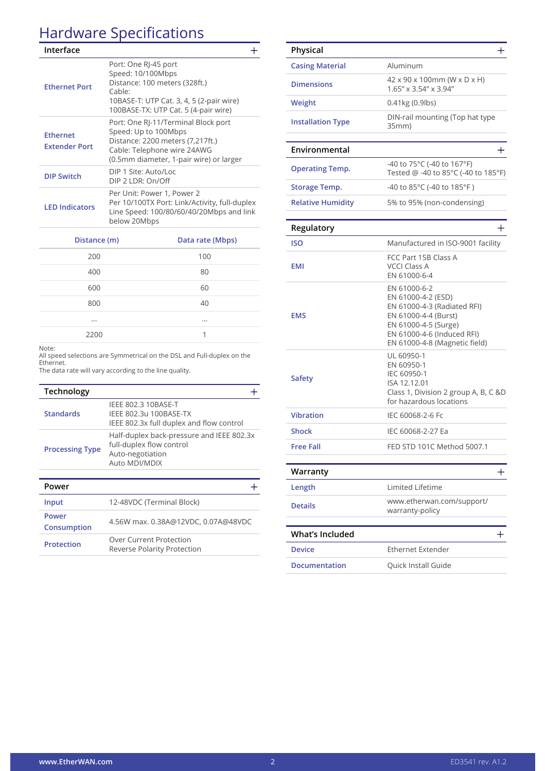## Hardware Specifications

| Interface                               |                                                                                                                                                                           |  |
|-----------------------------------------|---------------------------------------------------------------------------------------------------------------------------------------------------------------------------|--|
| <b>Ethernet Port</b>                    | Port: One RJ-45 port<br>Speed: 10/100Mbps<br>Distance: 100 meters (328ft.)<br>Cable:<br>10BASE-T: UTP Cat. 3, 4, 5 (2-pair wire)<br>100BASE-TX: UTP Cat. 5 (4-pair wire)  |  |
| <b>Ethernet</b><br><b>Extender Port</b> | Port: One RJ-11/Terminal Block port<br>Speed: Up to 100Mbps<br>Distance: 2200 meters (7,217ft.)<br>Cable: Telephone wire 24AWG<br>(0.5mm diameter, 1-pair wire) or larger |  |
| <b>DIP Switch</b>                       | DIP 1 Site: Auto/Loc<br>$DIP$ 2   DR: On/Off                                                                                                                              |  |
| <b>LED Indicators</b>                   | Per Unit: Power 1, Power 2<br>Per 10/100TX Port: Link/Activity, full-duplex<br>Line Speed: 100/80/60/40/20Mbps and link<br>below 20Mbps                                   |  |
|                                         |                                                                                                                                                                           |  |

| Distance (m) | Data rate (Mbps) |
|--------------|------------------|
| 200          | 100              |
| 400          | 80               |
| 600          | 60               |
| 800          | 40               |
|              | $\cdots$         |
| 2200         | 1                |

Note:

All speed selections are Symmetrical on the DSL and Full-duplex on the Ethernet.

The data rate will vary according to the line quality.

| Technology             |                                                                                                            |
|------------------------|------------------------------------------------------------------------------------------------------------|
| <b>Standards</b>       | IEEE 802.3 10BASE-T<br>IEEE 802.3u 100BASE-TX<br>IEEE 802.3x full duplex and flow control                  |
| <b>Processing Type</b> | Half-duplex back-pressure and IEEE 802.3x<br>full-duplex flow control<br>Auto-negotiation<br>Auto MDI/MDIX |
|                        |                                                                                                            |
|                        |                                                                                                            |

| гомен                |                                                               |
|----------------------|---------------------------------------------------------------|
| Input                | 12-48VDC (Terminal Block)                                     |
| Power<br>Consumption | 4.56W max. 0.38A@12VDC, 0.07A@48VDC                           |
| <b>Protection</b>    | Over Current Protection<br><b>Reverse Polarity Protection</b> |

| Physical                 | $\pm$                                                                                                                                                                            |
|--------------------------|----------------------------------------------------------------------------------------------------------------------------------------------------------------------------------|
| <b>Casing Material</b>   | Aluminum                                                                                                                                                                         |
| <b>Dimensions</b>        | 42 x 90 x 100mm (W x D x H)<br>1.65" x 3.54" x 3.94"                                                                                                                             |
| Weight                   | 0.41kg (0.9lbs)                                                                                                                                                                  |
| <b>Installation Type</b> | DIN-rail mounting (Top hat type<br>35mm)                                                                                                                                         |
| Environmental            | $\pm$                                                                                                                                                                            |
| <b>Operating Temp.</b>   | -40 to 75°C (-40 to 167°F)<br>Tested @ -40 to 85°C (-40 to 185°F)                                                                                                                |
| <b>Storage Temp.</b>     | -40 to 85°C (-40 to 185°F)                                                                                                                                                       |
| <b>Relative Humidity</b> | 5% to 95% (non-condensing)                                                                                                                                                       |
| Regulatory               | $\mathrm{+}$                                                                                                                                                                     |
| <b>ISO</b>               | Manufactured in ISO-9001 facility                                                                                                                                                |
| <b>EMI</b>               | FCC Part 15B Class A<br><b>VCCI Class A</b><br>EN 61000-6-4                                                                                                                      |
| <b>EMS</b>               | EN 61000-6-2<br>EN 61000-4-2 (ESD)<br>EN 61000-4-3 (Radiated RFI)<br>EN 61000-4-4 (Burst)<br>EN 61000-4-5 (Surge)<br>EN 61000-4-6 (Induced RFI)<br>EN 61000-4-8 (Magnetic field) |
| <b>Safety</b>            | UL 60950-1<br>EN 60950-1<br>IEC 60950-1<br>ISA 12.12.01<br>Class 1, Division 2 group A, B, C &D<br>for hazardous locations                                                       |
| <b>Vibration</b>         | IEC 60068-2-6 Fc                                                                                                                                                                 |
| <b>Shock</b>             | IEC 60068-2-27 Ea                                                                                                                                                                |
| Free Fall                | FED STD 101C Method 5007.1                                                                                                                                                       |
| Warranty                 | ┿                                                                                                                                                                                |
| Length                   | Limited Lifetime                                                                                                                                                                 |
| <b>Details</b>           | www.etherwan.com/support/<br>warranty-policy                                                                                                                                     |
| <b>What's Included</b>   | +                                                                                                                                                                                |
| <b>Device</b>            | <b>Ethernet Extender</b>                                                                                                                                                         |
| <b>Documentation</b>     | Quick Install Guide                                                                                                                                                              |